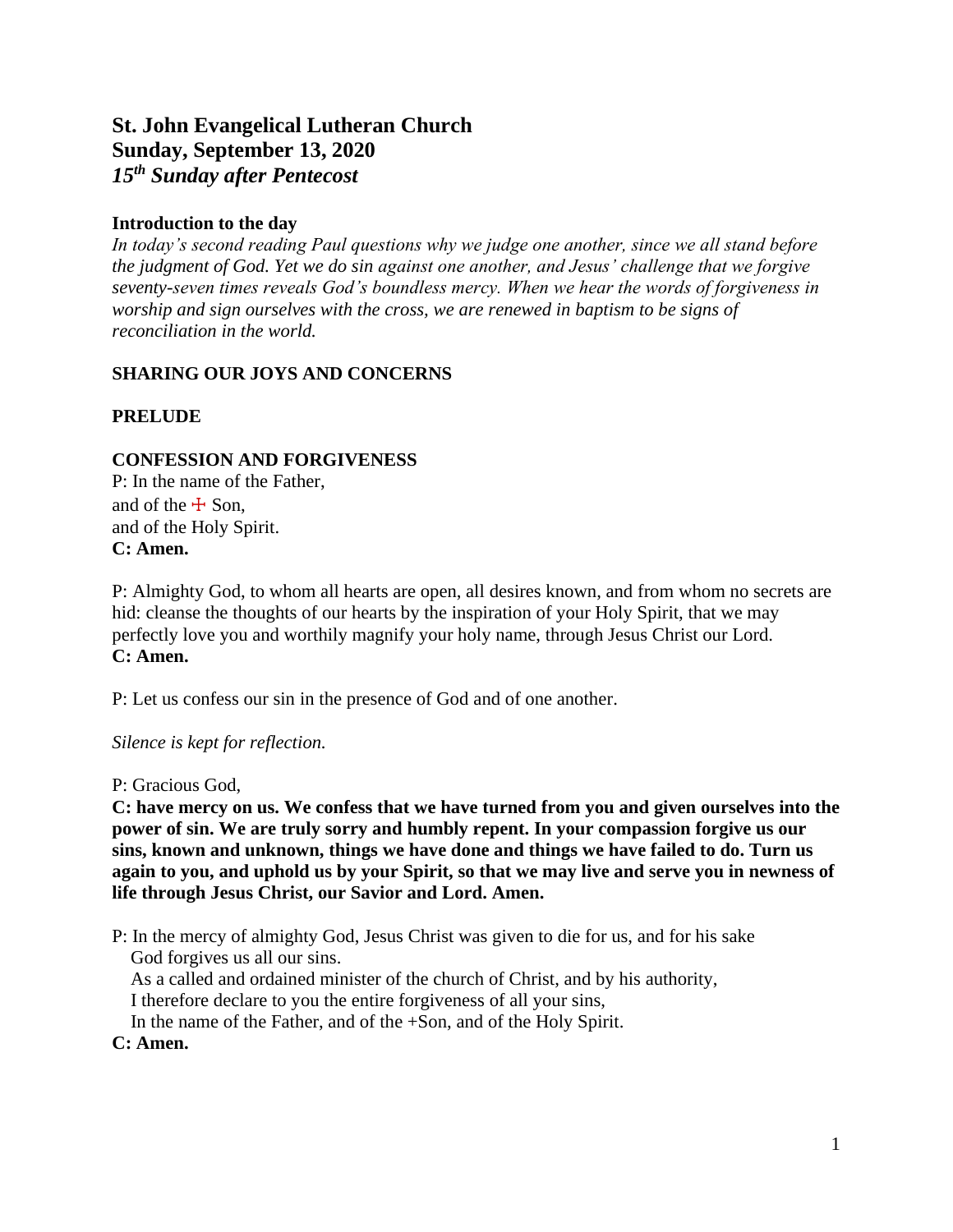# **St. John Evangelical Lutheran Church Sunday, September 13, 2020** *15 th Sunday after Pentecost*

# **Introduction to the day**

*In today's second reading Paul questions why we judge one another, since we all stand before the judgment of God. Yet we do sin against one another, and Jesus' challenge that we forgive seventy-seven times reveals God's boundless mercy. When we hear the words of forgiveness in worship and sign ourselves with the cross, we are renewed in baptism to be signs of reconciliation in the world.*

# **SHARING OUR JOYS AND CONCERNS**

# **PRELUDE**

# **CONFESSION AND FORGIVENESS**

P: In the name of the Father, and of the  $\pm$  Son, and of the Holy Spirit. **C: Amen.**

P: Almighty God, to whom all hearts are open, all desires known, and from whom no secrets are hid: cleanse the thoughts of our hearts by the inspiration of your Holy Spirit, that we may perfectly love you and worthily magnify your holy name, through Jesus Christ our Lord. **C: Amen.**

P: Let us confess our sin in the presence of God and of one another.

*Silence is kept for reflection.*

P: Gracious God,

**C: have mercy on us. We confess that we have turned from you and given ourselves into the power of sin. We are truly sorry and humbly repent. In your compassion forgive us our sins, known and unknown, things we have done and things we have failed to do. Turn us again to you, and uphold us by your Spirit, so that we may live and serve you in newness of life through Jesus Christ, our Savior and Lord. Amen.**

P: In the mercy of almighty God, Jesus Christ was given to die for us, and for his sake God forgives us all our sins.

As a called and ordained minister of the church of Christ, and by his authority,

I therefore declare to you the entire forgiveness of all your sins,

In the name of the Father, and of the +Son, and of the Holy Spirit.

## **C: Amen.**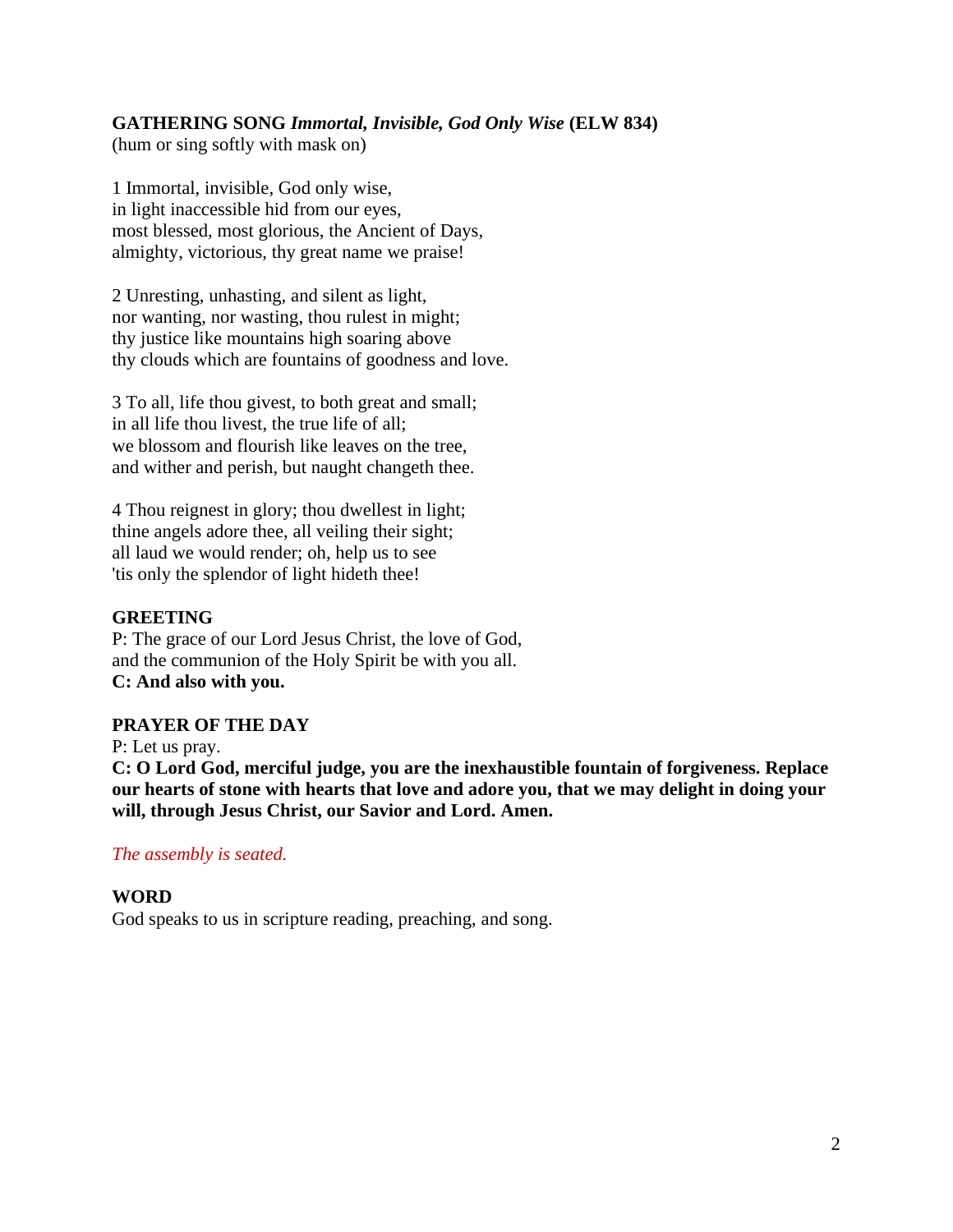# **GATHERING SONG** *Immortal, Invisible, God Only Wise* **(ELW 834)**

(hum or sing softly with mask on)

1 Immortal, invisible, God only wise, in light inaccessible hid from our eyes, most blessed, most glorious, the Ancient of Days, almighty, victorious, thy great name we praise!

2 Unresting, unhasting, and silent as light, nor wanting, nor wasting, thou rulest in might; thy justice like mountains high soaring above thy clouds which are fountains of goodness and love.

3 To all, life thou givest, to both great and small; in all life thou livest, the true life of all; we blossom and flourish like leaves on the tree, and wither and perish, but naught changeth thee.

4 Thou reignest in glory; thou dwellest in light; thine angels adore thee, all veiling their sight; all laud we would render; oh, help us to see 'tis only the splendor of light hideth thee!

#### **GREETING**

P: The grace of our Lord Jesus Christ, the love of God, and the communion of the Holy Spirit be with you all. **C: And also with you.**

## **PRAYER OF THE DAY**

P: Let us pray. **C: O Lord God, merciful judge, you are the inexhaustible fountain of forgiveness. Replace our hearts of stone with hearts that love and adore you, that we may delight in doing your will, through Jesus Christ, our Savior and Lord. Amen.**

## *The assembly is seated.*

## **WORD**

God speaks to us in scripture reading, preaching, and song.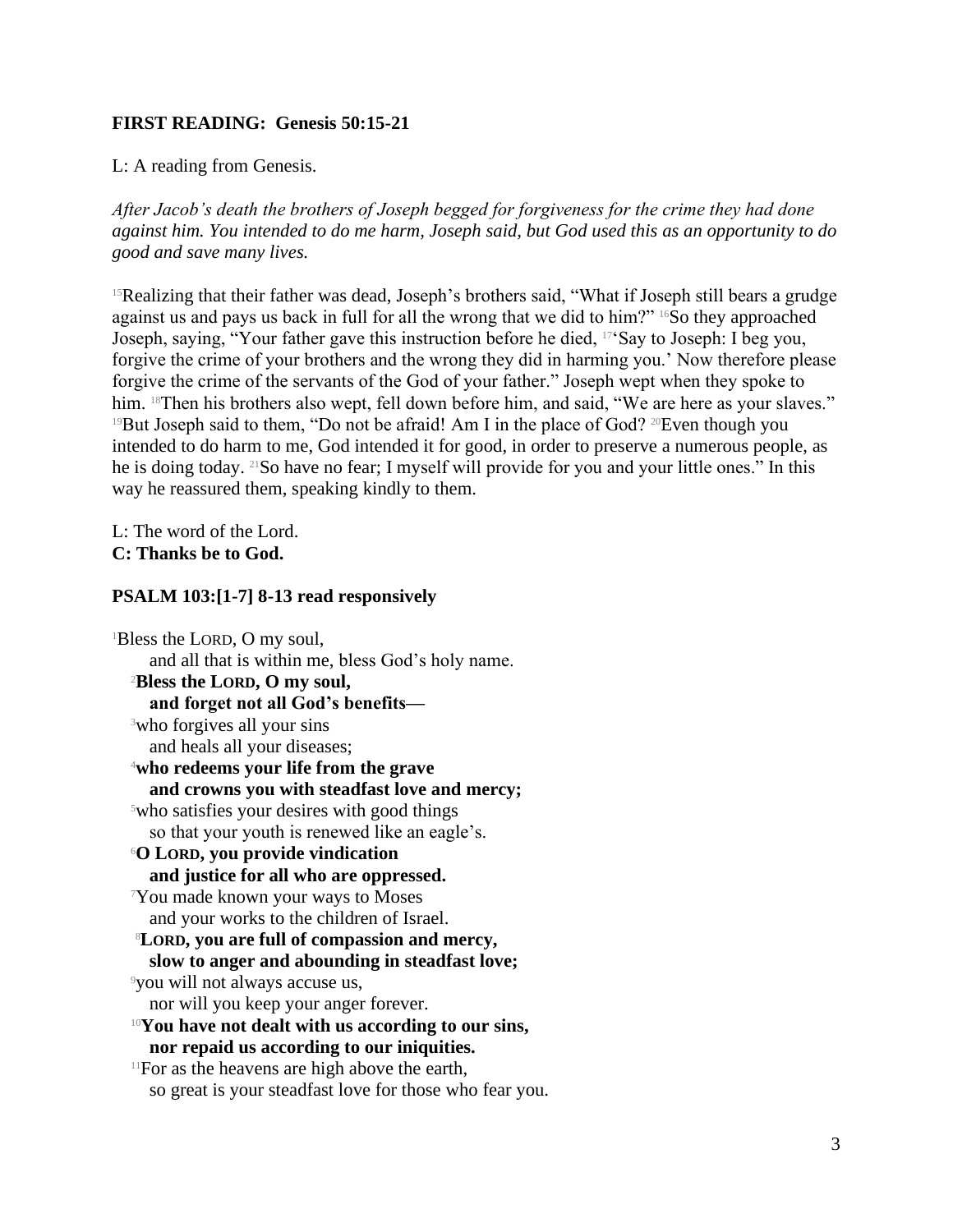# **FIRST READING: Genesis 50:15-21**

L: A reading from Genesis.

*After Jacob's death the brothers of Joseph begged for forgiveness for the crime they had done against him. You intended to do me harm, Joseph said, but God used this as an opportunity to do good and save many lives.*

<sup>15</sup>Realizing that their father was dead, Joseph's brothers said, "What if Joseph still bears a grudge against us and pays us back in full for all the wrong that we did to him?" 16So they approached Joseph, saying, "Your father gave this instruction before he died, 17'Say to Joseph: I beg you, forgive the crime of your brothers and the wrong they did in harming you.' Now therefore please forgive the crime of the servants of the God of your father." Joseph wept when they spoke to him. <sup>18</sup>Then his brothers also wept, fell down before him, and said, "We are here as your slaves." <sup>19</sup>But Joseph said to them, "Do not be afraid! Am I in the place of God? <sup>20</sup>Even though you intended to do harm to me, God intended it for good, in order to preserve a numerous people, as he is doing today. 21So have no fear; I myself will provide for you and your little ones." In this way he reassured them, speaking kindly to them.

L: The word of the Lord. **C: Thanks be to God.**

## **PSALM 103:[1-7] 8-13 read responsively**

<sup>1</sup>Bless the LORD, O my soul, and all that is within me, bless God's holy name. <sup>2</sup>**Bless the LORD, O my soul, and forget not all God's benefits—** <sup>3</sup>who forgives all your sins and heals all your diseases; <sup>4</sup>**who redeems your life from the grave and crowns you with steadfast love and mercy;** <sup>5</sup>who satisfies your desires with good things so that your youth is renewed like an eagle's. <sup>6</sup>**O LORD, you provide vindication and justice for all who are oppressed.** <sup>7</sup>You made known your ways to Moses and your works to the children of Israel. <sup>8</sup>**LORD, you are full of compassion and mercy, slow to anger and abounding in steadfast love;** <sup>9</sup>you will not always accuse us, nor will you keep your anger forever. <sup>10</sup>**You have not dealt with us according to our sins, nor repaid us according to our iniquities.** <sup>11</sup>For as the heavens are high above the earth, so great is your steadfast love for those who fear you.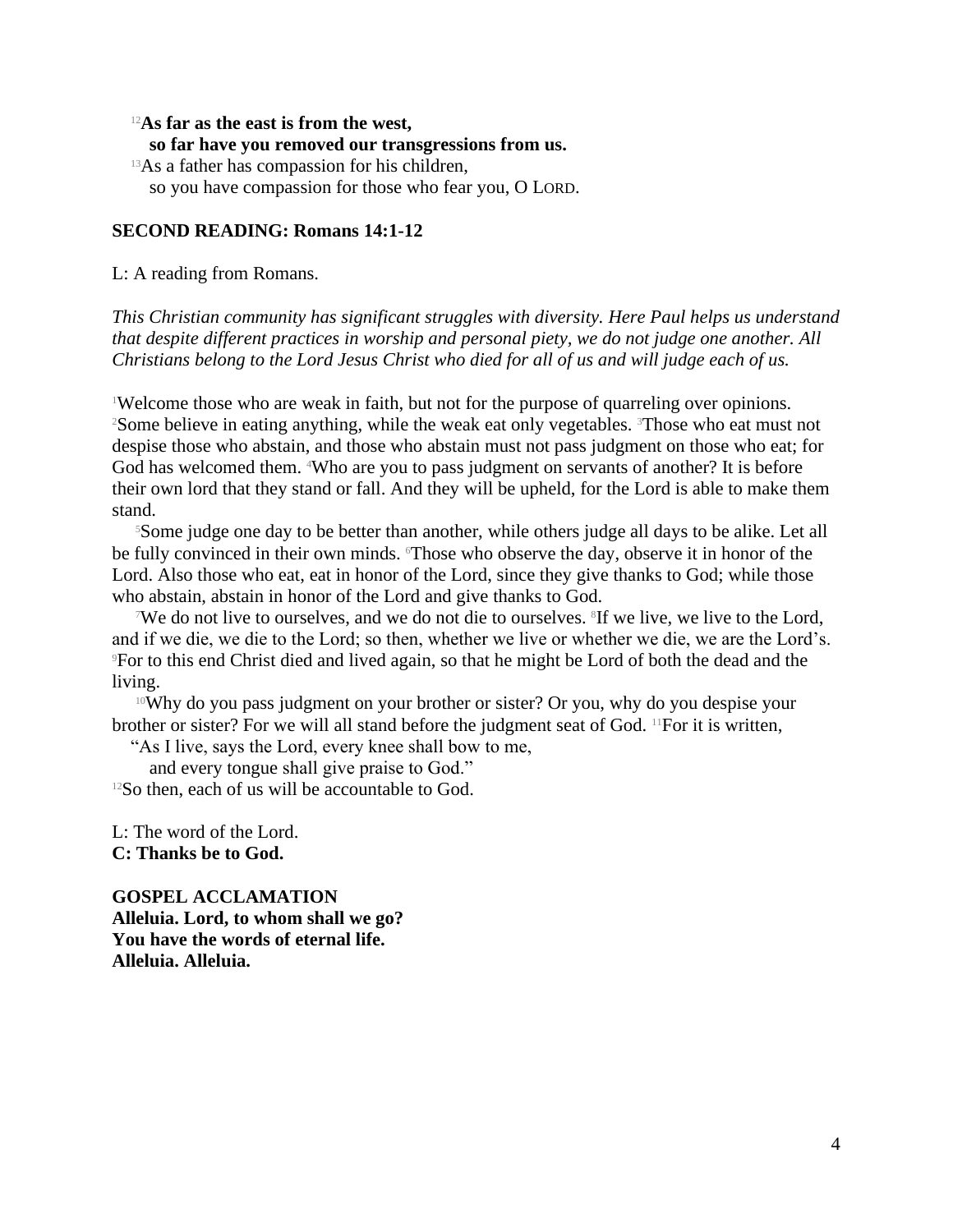#### <sup>12</sup>**As far as the east is from the west,**

#### **so far have you removed our transgressions from us.**

<sup>13</sup>As a father has compassion for his children,

so you have compassion for those who fear you, O LORD.

#### **SECOND READING: Romans 14:1-12**

L: A reading from Romans.

*This Christian community has significant struggles with diversity. Here Paul helps us understand that despite different practices in worship and personal piety, we do not judge one another. All Christians belong to the Lord Jesus Christ who died for all of us and will judge each of us.*

<sup>1</sup>Welcome those who are weak in faith, but not for the purpose of quarreling over opinions. <sup>2</sup>Some believe in eating anything, while the weak eat only vegetables. <sup>3</sup>Those who eat must not despise those who abstain, and those who abstain must not pass judgment on those who eat; for God has welcomed them. <sup>4</sup>Who are you to pass judgment on servants of another? It is before their own lord that they stand or fall. And they will be upheld, for the Lord is able to make them stand.

<sup>5</sup>Some judge one day to be better than another, while others judge all days to be alike. Let all be fully convinced in their own minds. Those who observe the day, observe it in honor of the Lord. Also those who eat, eat in honor of the Lord, since they give thanks to God; while those who abstain, abstain in honor of the Lord and give thanks to God.

We do not live to ourselves, and we do not die to ourselves. <sup>8</sup>If we live, we live to the Lord, and if we die, we die to the Lord; so then, whether we live or whether we die, we are the Lord's. <sup>9</sup>For to this end Christ died and lived again, so that he might be Lord of both the dead and the living.

<sup>10</sup>Why do you pass judgment on your brother or sister? Or you, why do you despise your brother or sister? For we will all stand before the judgment seat of God.  $\mathbb{F}^1$  For it is written,

"As I live, says the Lord, every knee shall bow to me,

and every tongue shall give praise to God."  $12$ So then, each of us will be accountable to God.

L: The word of the Lord. **C: Thanks be to God.**

**GOSPEL ACCLAMATION Alleluia. Lord, to whom shall we go? You have the words of eternal life. Alleluia. Alleluia.**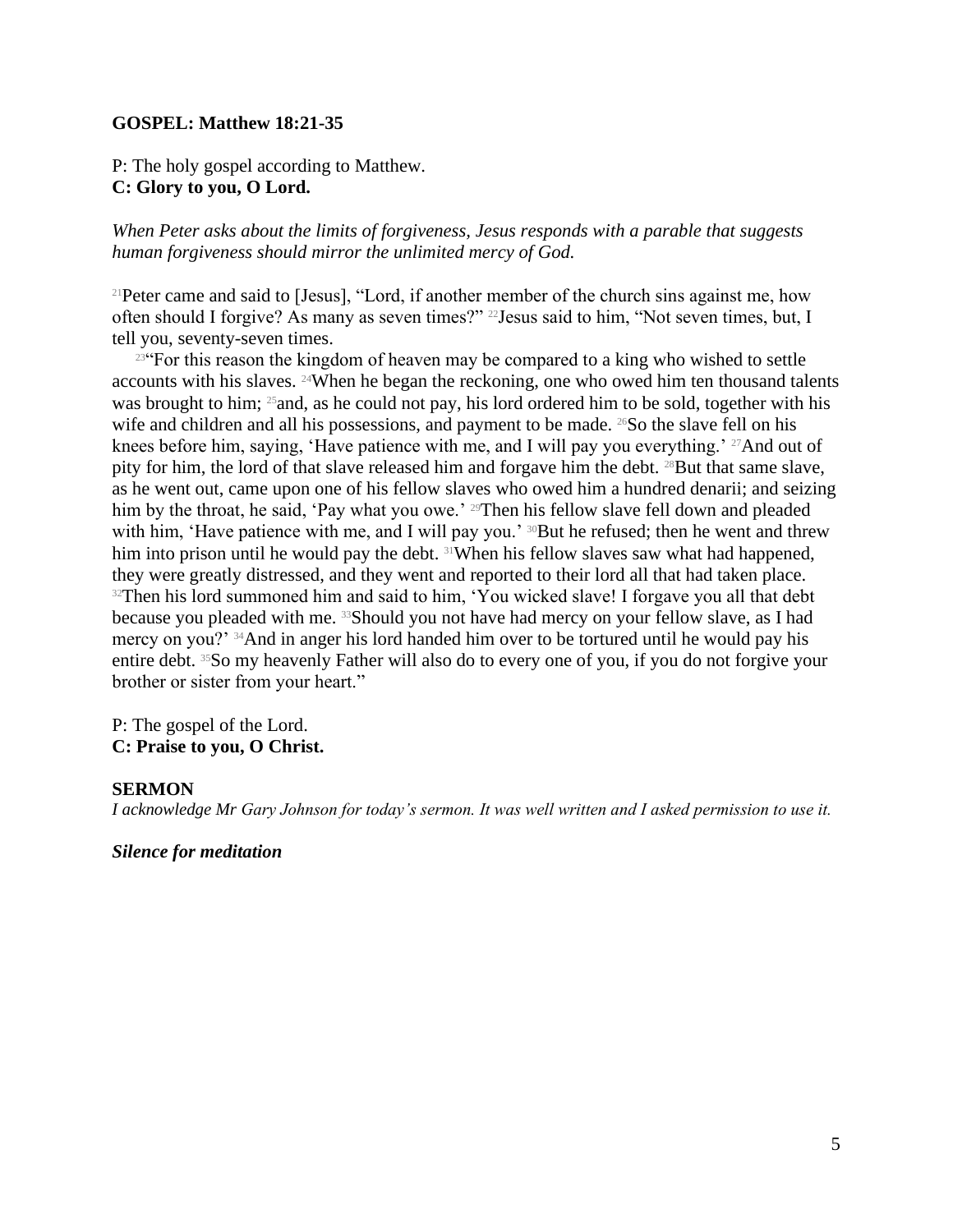## **GOSPEL: Matthew 18:21-35**

P: The holy gospel according to Matthew. **C: Glory to you, O Lord.**

*When Peter asks about the limits of forgiveness, Jesus responds with a parable that suggests human forgiveness should mirror the unlimited mercy of God.*

<sup>21</sup>Peter came and said to [Jesus], "Lord, if another member of the church sins against me, how often should I forgive? As many as seven times?" 22Jesus said to him, "Not seven times, but, I tell you, seventy-seven times.

<sup>23"</sup>For this reason the kingdom of heaven may be compared to a king who wished to settle accounts with his slaves. 24When he began the reckoning, one who owed him ten thousand talents was brought to him; <sup>25</sup> and, as he could not pay, his lord ordered him to be sold, together with his wife and children and all his possessions, and payment to be made.  $^{26}$ So the slave fell on his knees before him, saying, 'Have patience with me, and I will pay you everything.' <sup>27</sup>And out of pity for him, the lord of that slave released him and forgave him the debt. <sup>28</sup>But that same slave, as he went out, came upon one of his fellow slaves who owed him a hundred denarii; and seizing him by the throat, he said, 'Pay what you owe.' <sup>29</sup>Then his fellow slave fell down and pleaded with him, 'Have patience with me, and I will pay you.' <sup>30</sup>But he refused; then he went and threw him into prison until he would pay the debt. 31When his fellow slaves saw what had happened, they were greatly distressed, and they went and reported to their lord all that had taken place. <sup>32</sup>Then his lord summoned him and said to him, 'You wicked slave! I forgave you all that debt because you pleaded with me. 33Should you not have had mercy on your fellow slave, as I had mercy on you?' 34And in anger his lord handed him over to be tortured until he would pay his entire debt. 35So my heavenly Father will also do to every one of you, if you do not forgive your brother or sister from your heart."

P: The gospel of the Lord. **C: Praise to you, O Christ.**

#### **SERMON**

*I acknowledge Mr Gary Johnson for today's sermon. It was well written and I asked permission to use it.*

*Silence for meditation*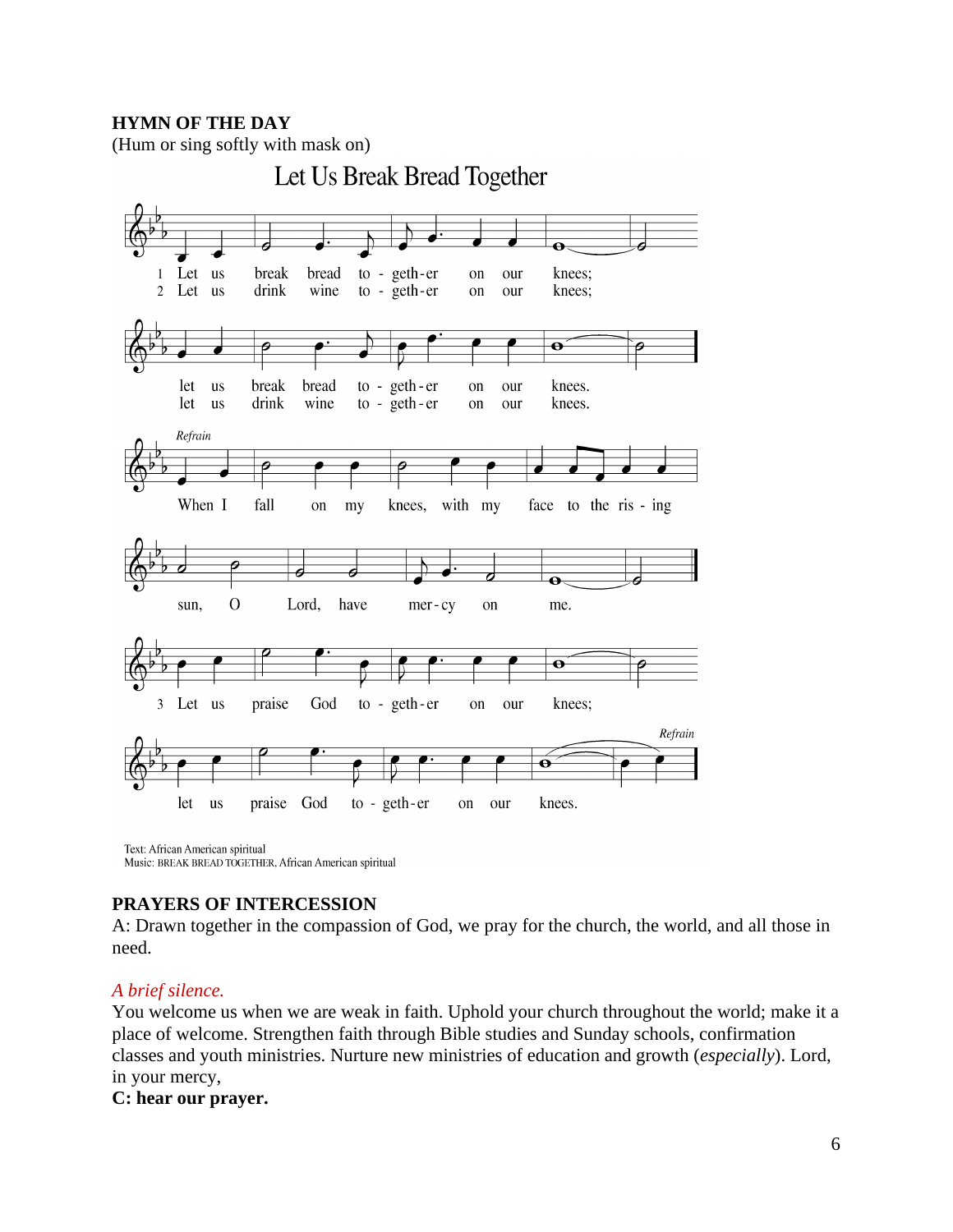# **HYMN OF THE DAY**



Text: African American spiritual Music: BREAK BREAD TOGETHER, African American spiritual

## **PRAYERS OF INTERCESSION**

A: Drawn together in the compassion of God, we pray for the church, the world, and all those in need.

## *A brief silence.*

You welcome us when we are weak in faith. Uphold your church throughout the world; make it a place of welcome. Strengthen faith through Bible studies and Sunday schools, confirmation classes and youth ministries. Nurture new ministries of education and growth (*especially*). Lord, in your mercy,

# **C: hear our prayer.**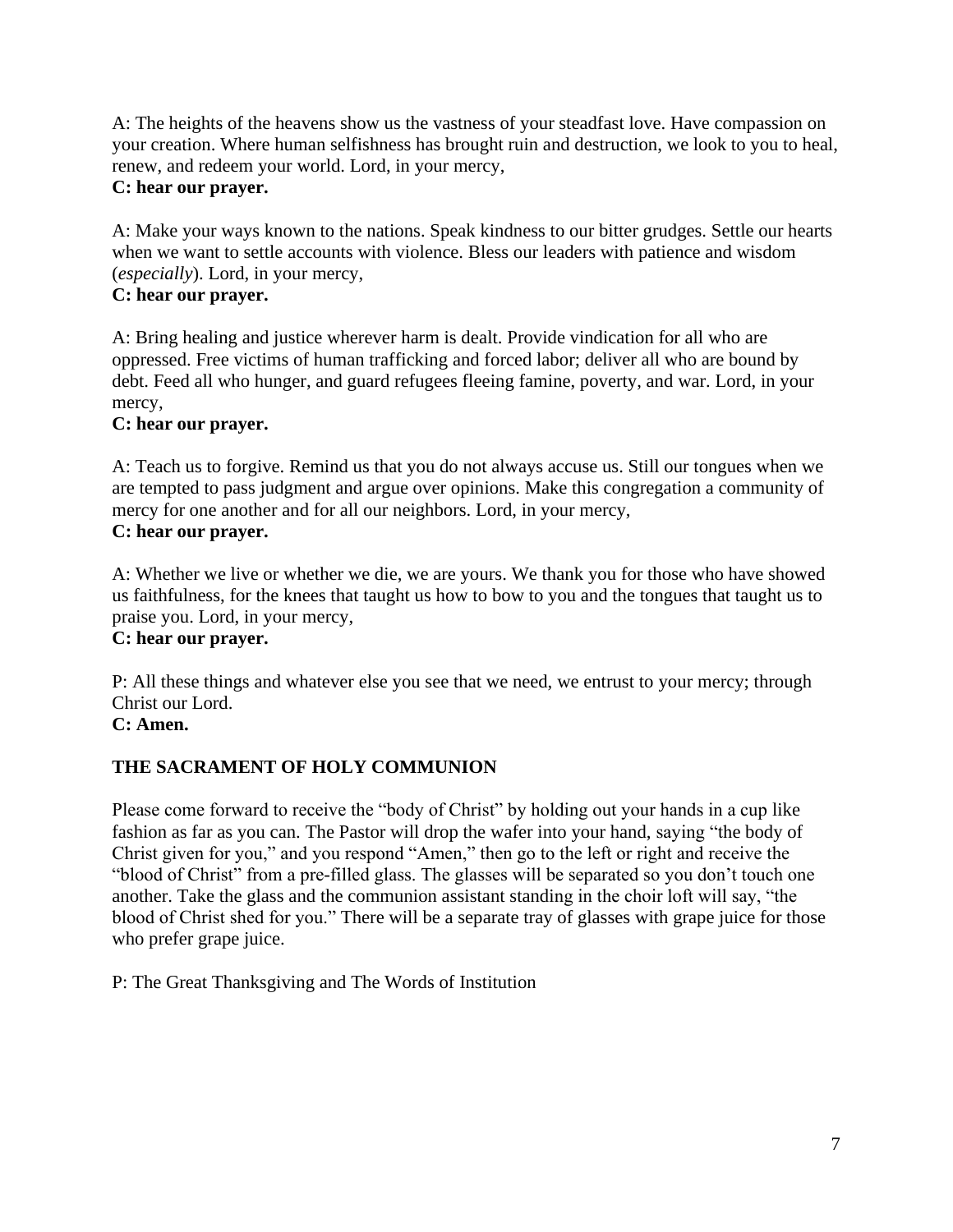A: The heights of the heavens show us the vastness of your steadfast love. Have compassion on your creation. Where human selfishness has brought ruin and destruction, we look to you to heal, renew, and redeem your world. Lord, in your mercy,

# **C: hear our prayer.**

A: Make your ways known to the nations. Speak kindness to our bitter grudges. Settle our hearts when we want to settle accounts with violence. Bless our leaders with patience and wisdom (*especially*). Lord, in your mercy,

# **C: hear our prayer.**

A: Bring healing and justice wherever harm is dealt. Provide vindication for all who are oppressed. Free victims of human trafficking and forced labor; deliver all who are bound by debt. Feed all who hunger, and guard refugees fleeing famine, poverty, and war. Lord, in your mercy,

# **C: hear our prayer.**

A: Teach us to forgive. Remind us that you do not always accuse us. Still our tongues when we are tempted to pass judgment and argue over opinions. Make this congregation a community of mercy for one another and for all our neighbors. Lord, in your mercy, **C: hear our prayer.**

A: Whether we live or whether we die, we are yours. We thank you for those who have showed us faithfulness, for the knees that taught us how to bow to you and the tongues that taught us to praise you. Lord, in your mercy,

# **C: hear our prayer.**

P: All these things and whatever else you see that we need, we entrust to your mercy; through Christ our Lord.

# **C: Amen.**

# **THE SACRAMENT OF HOLY COMMUNION**

Please come forward to receive the "body of Christ" by holding out your hands in a cup like fashion as far as you can. The Pastor will drop the wafer into your hand, saying "the body of Christ given for you," and you respond "Amen," then go to the left or right and receive the "blood of Christ" from a pre-filled glass. The glasses will be separated so you don't touch one another. Take the glass and the communion assistant standing in the choir loft will say, "the blood of Christ shed for you." There will be a separate tray of glasses with grape juice for those who prefer grape juice.

P: The Great Thanksgiving and The Words of Institution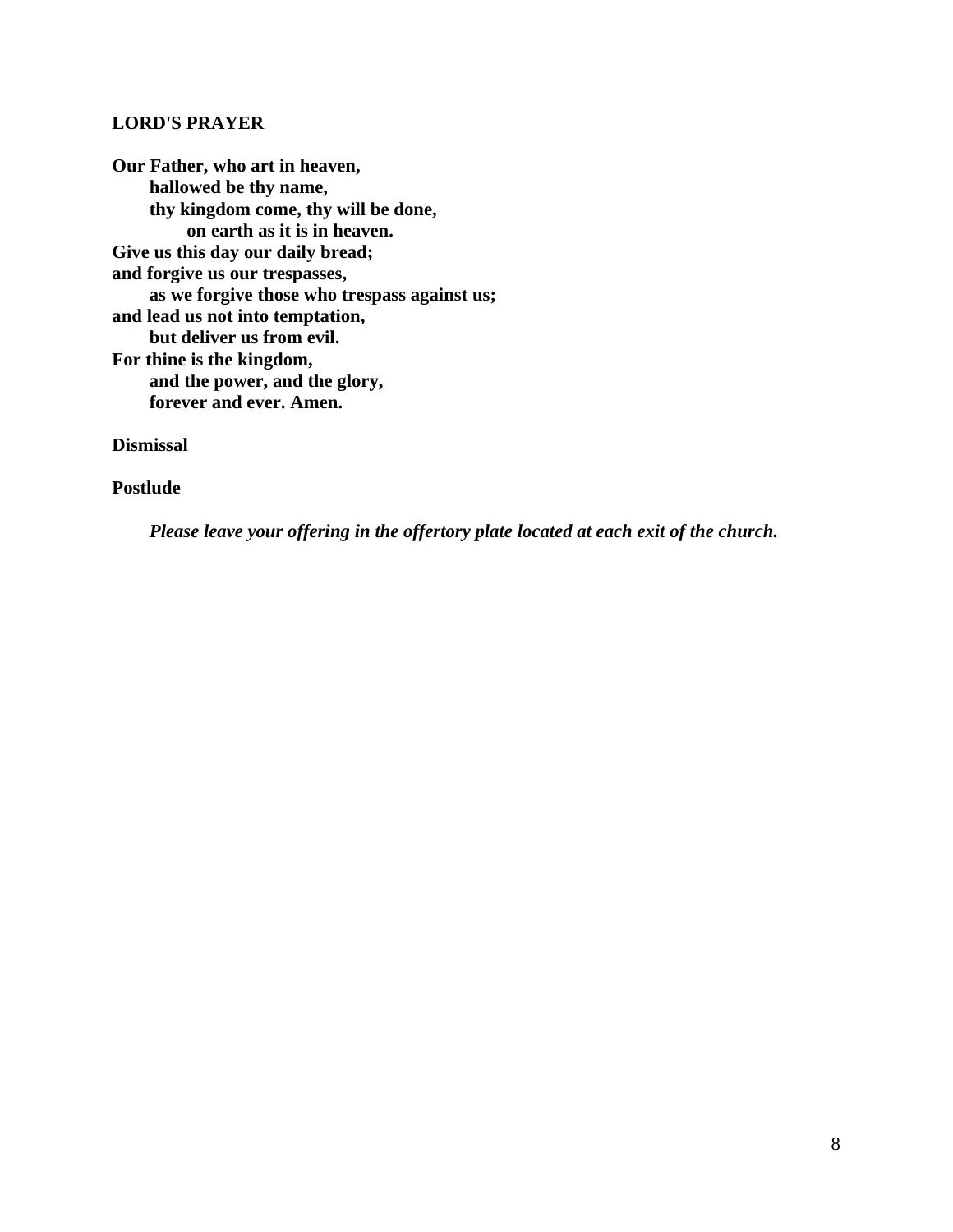#### **LORD'S PRAYER**

**Our Father, who art in heaven, hallowed be thy name, thy kingdom come, thy will be done, on earth as it is in heaven. Give us this day our daily bread; and forgive us our trespasses, as we forgive those who trespass against us; and lead us not into temptation, but deliver us from evil. For thine is the kingdom, and the power, and the glory, forever and ever. Amen.**

**Dismissal** 

**Postlude**

*Please leave your offering in the offertory plate located at each exit of the church.*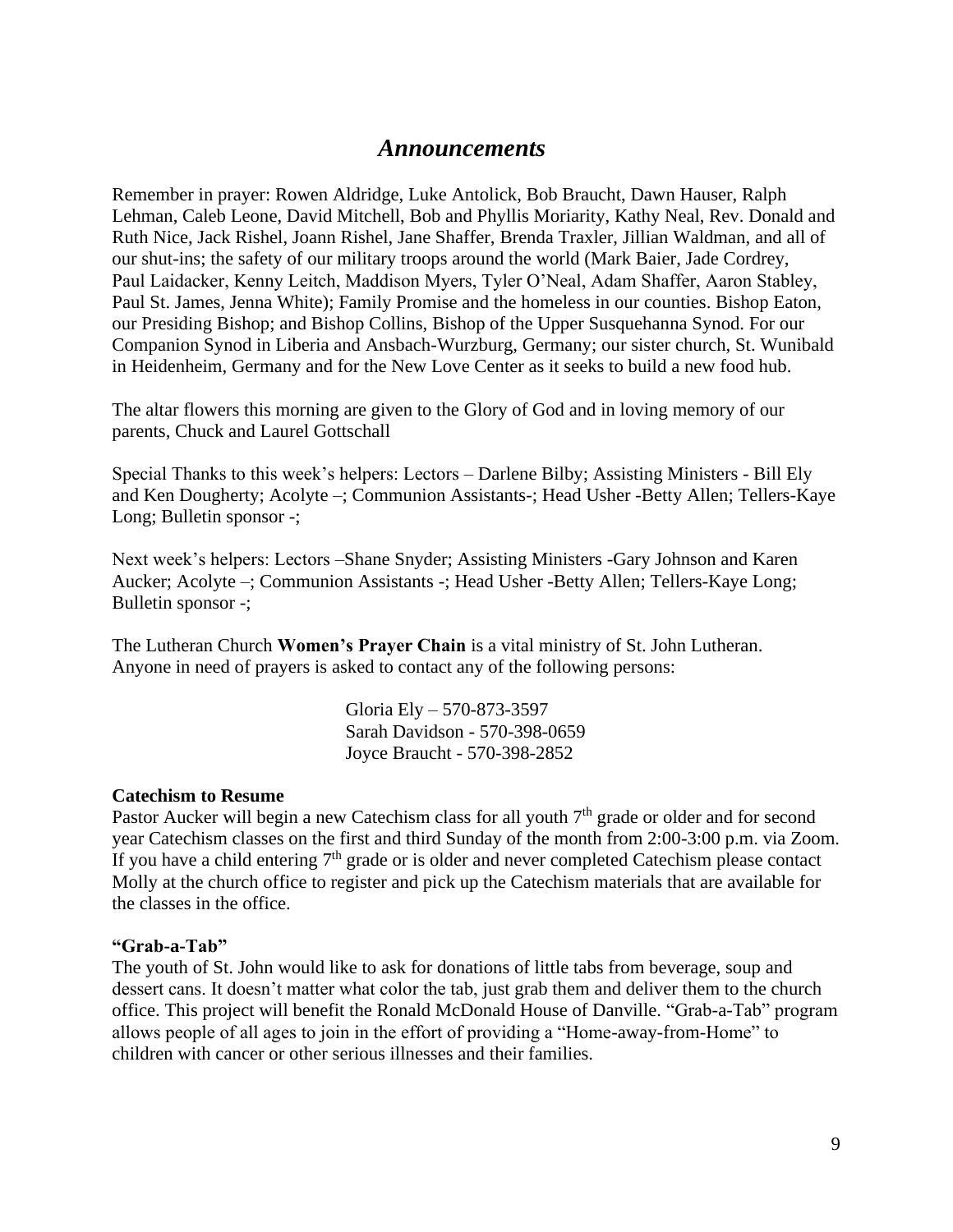# *Announcements*

Remember in prayer: Rowen Aldridge, Luke Antolick, Bob Braucht, Dawn Hauser, Ralph Lehman, Caleb Leone, David Mitchell, Bob and Phyllis Moriarity, Kathy Neal, Rev. Donald and Ruth Nice, Jack Rishel, Joann Rishel, Jane Shaffer, Brenda Traxler, Jillian Waldman, and all of our shut-ins; the safety of our military troops around the world (Mark Baier, Jade Cordrey, Paul Laidacker, Kenny Leitch, Maddison Myers, Tyler O'Neal, Adam Shaffer, Aaron Stabley, Paul St. James, Jenna White); Family Promise and the homeless in our counties. Bishop Eaton, our Presiding Bishop; and Bishop Collins, Bishop of the Upper Susquehanna Synod. For our Companion Synod in Liberia and Ansbach-Wurzburg, Germany; our sister church, St. Wunibald in Heidenheim, Germany and for the New Love Center as it seeks to build a new food hub.

The altar flowers this morning are given to the Glory of God and in loving memory of our parents, Chuck and Laurel Gottschall

Special Thanks to this week's helpers: Lectors – Darlene Bilby; Assisting Ministers - Bill Ely and Ken Dougherty; Acolyte –; Communion Assistants-; Head Usher -Betty Allen; Tellers-Kaye Long; Bulletin sponsor -;

Next week's helpers: Lectors –Shane Snyder; Assisting Ministers -Gary Johnson and Karen Aucker; Acolyte –; Communion Assistants -; Head Usher -Betty Allen; Tellers-Kaye Long; Bulletin sponsor -;

The Lutheran Church **Women's Prayer Chain** is a vital ministry of St. John Lutheran. Anyone in need of prayers is asked to contact any of the following persons:

> Gloria Ely – 570-873-3597 Sarah Davidson - 570-398-0659 Joyce Braucht - 570-398-2852

## **Catechism to Resume**

Pastor Aucker will begin a new Catechism class for all youth  $7<sup>th</sup>$  grade or older and for second year Catechism classes on the first and third Sunday of the month from 2:00-3:00 p.m. via Zoom. If you have a child entering  $7<sup>th</sup>$  grade or is older and never completed Catechism please contact Molly at the church office to register and pick up the Catechism materials that are available for the classes in the office.

## **"Grab-a-Tab"**

The youth of St. John would like to ask for donations of little tabs from beverage, soup and dessert cans. It doesn't matter what color the tab, just grab them and deliver them to the church office. This project will benefit the Ronald McDonald House of Danville. "Grab-a-Tab" program allows people of all ages to join in the effort of providing a "Home-away-from-Home" to children with cancer or other serious illnesses and their families.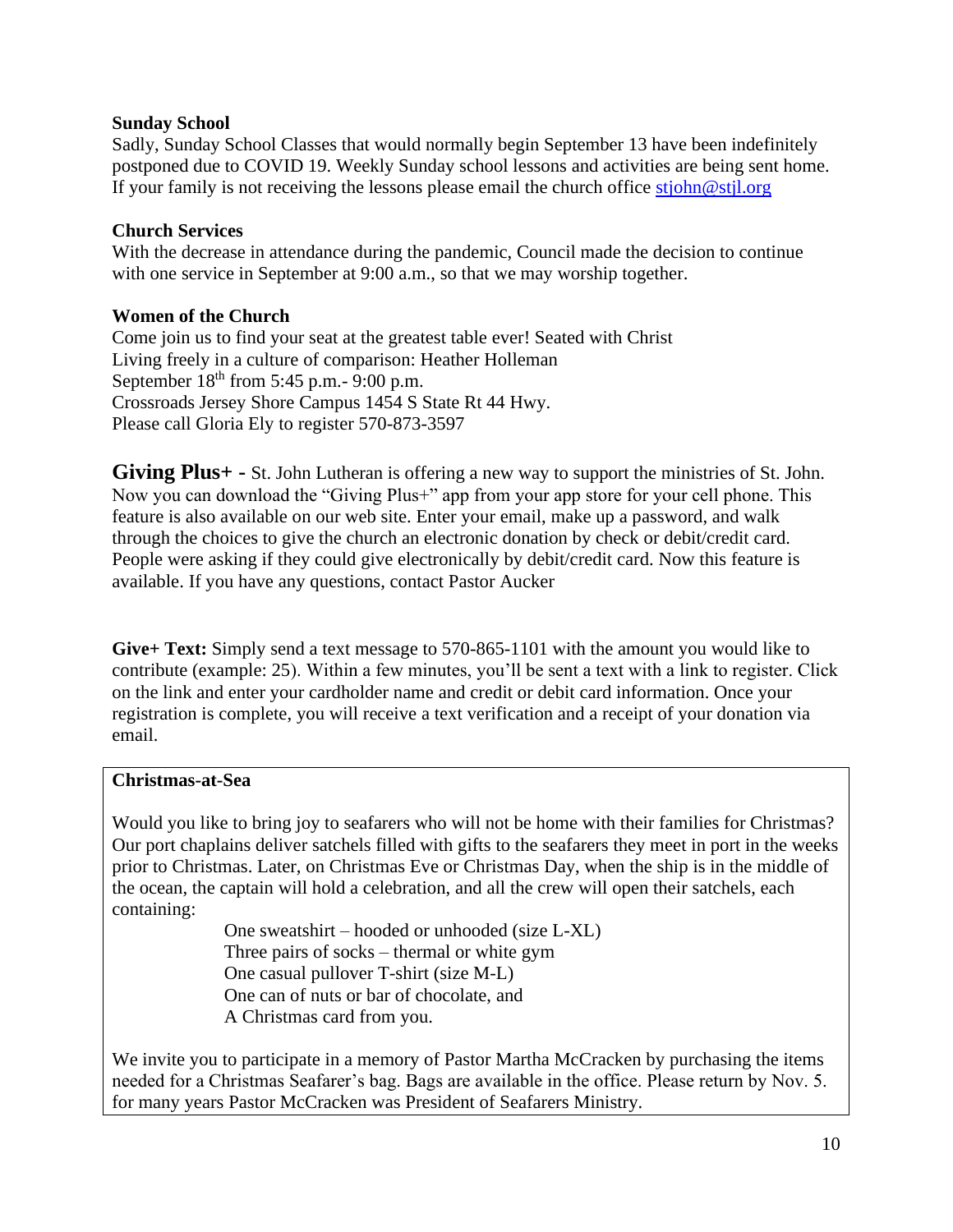# **Sunday School**

Sadly, Sunday School Classes that would normally begin September 13 have been indefinitely postponed due to COVID 19. Weekly Sunday school lessons and activities are being sent home. If your family is not receiving the lessons please email the church office [stjohn@stjl.org](mailto:stjohn@stjl.org)

# **Church Services**

With the decrease in attendance during the pandemic, Council made the decision to continue with one service in September at 9:00 a.m., so that we may worship together.

# **Women of the Church**

Come join us to find your seat at the greatest table ever! Seated with Christ Living freely in a culture of comparison: Heather Holleman September  $18<sup>th</sup>$  from 5:45 p.m. - 9:00 p.m. Crossroads Jersey Shore Campus 1454 S State Rt 44 Hwy. Please call Gloria Ely to register 570-873-3597

**Giving Plus+ -** St. John Lutheran is offering a new way to support the ministries of St. John. Now you can download the "Giving Plus+" app from your app store for your cell phone. This feature is also available on our web site. Enter your email, make up a password, and walk through the choices to give the church an electronic donation by check or debit/credit card. People were asking if they could give electronically by debit/credit card. Now this feature is available. If you have any questions, contact Pastor Aucker

**Give+ Text:** Simply send a text message to 570-865-1101 with the amount you would like to contribute (example: 25). Within a few minutes, you'll be sent a text with a link to register. Click on the link and enter your cardholder name and credit or debit card information. Once your registration is complete, you will receive a text verification and a receipt of your donation via email.

## **Christmas-at-Sea**

Would you like to bring joy to seafarers who will not be home with their families for Christmas? Our port chaplains deliver satchels filled with gifts to the seafarers they meet in port in the weeks prior to Christmas. Later, on Christmas Eve or Christmas Day, when the ship is in the middle of the ocean, the captain will hold a celebration, and all the crew will open their satchels, each containing:

> One sweatshirt – hooded or unhooded (size L-XL) Three pairs of socks – thermal or white gym One casual pullover T-shirt (size M-L) One can of nuts or bar of chocolate, and A Christmas card from you.

We invite you to participate in a memory of Pastor Martha McCracken by purchasing the items needed for a Christmas Seafarer's bag. Bags are available in the office. Please return by Nov. 5. for many years Pastor McCracken was President of Seafarers Ministry.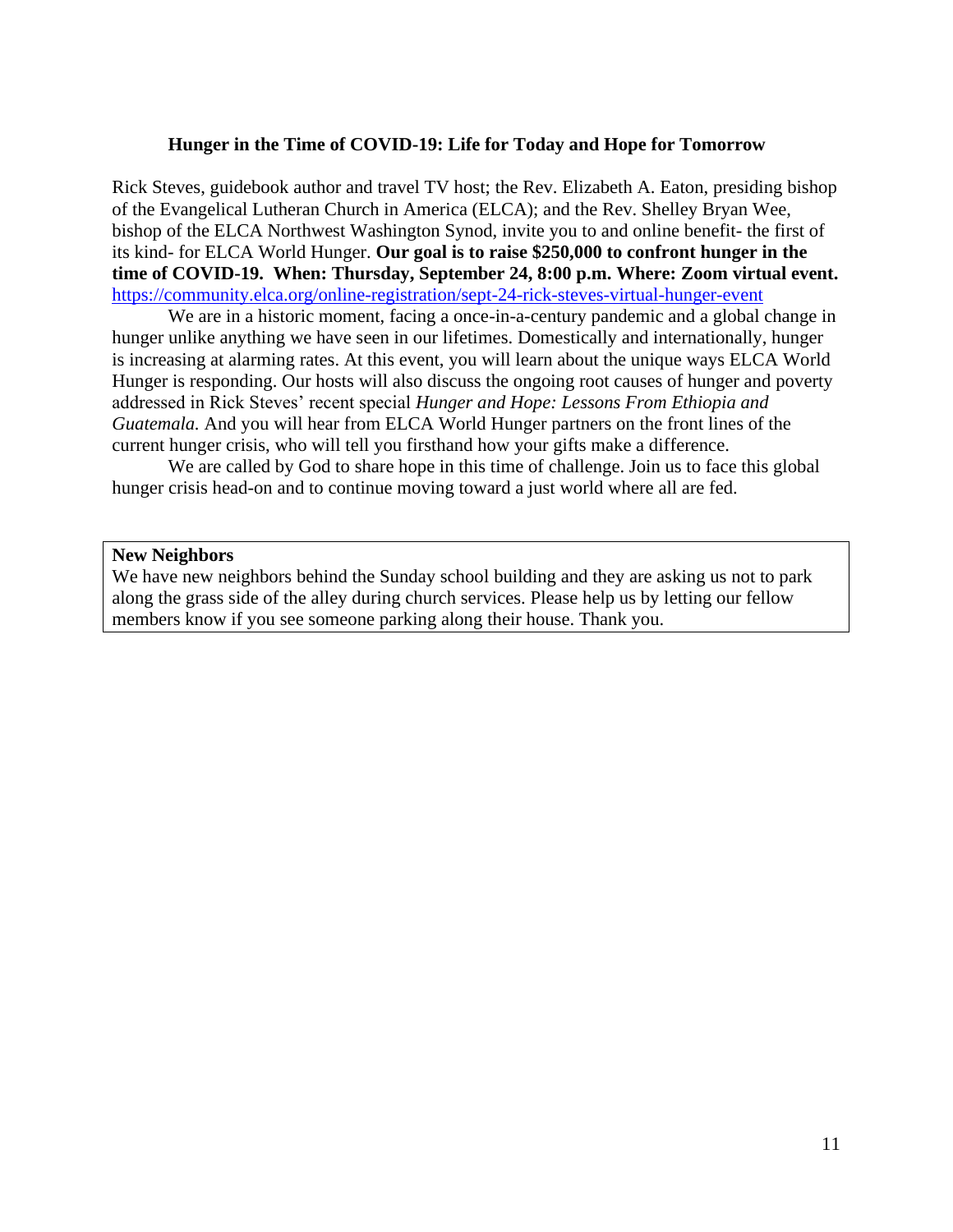#### **Hunger in the Time of COVID-19: Life for Today and Hope for Tomorrow**

Rick Steves, guidebook author and travel TV host; the Rev. Elizabeth A. Eaton, presiding bishop of the Evangelical Lutheran Church in America (ELCA); and the Rev. Shelley Bryan Wee, bishop of the ELCA Northwest Washington Synod, invite you to and online benefit- the first of its kind- for ELCA World Hunger. **Our goal is to raise \$250,000 to confront hunger in the time of COVID-19. When: Thursday, September 24, 8:00 p.m. Where: Zoom virtual event.** <https://community.elca.org/online-registration/sept-24-rick-steves-virtual-hunger-event>

We are in a historic moment, facing a once-in-a-century pandemic and a global change in hunger unlike anything we have seen in our lifetimes. Domestically and internationally, hunger is increasing at alarming rates. At this event, you will learn about the unique ways ELCA World Hunger is responding. Our hosts will also discuss the ongoing root causes of hunger and poverty addressed in Rick Steves' recent special *Hunger and Hope: Lessons From Ethiopia and Guatemala.* And you will hear from ELCA World Hunger partners on the front lines of the current hunger crisis, who will tell you firsthand how your gifts make a difference.

We are called by God to share hope in this time of challenge. Join us to face this global hunger crisis head-on and to continue moving toward a just world where all are fed.

#### **New Neighbors**

We have new neighbors behind the Sunday school building and they are asking us not to park along the grass side of the alley during church services. Please help us by letting our fellow members know if you see someone parking along their house. Thank you.